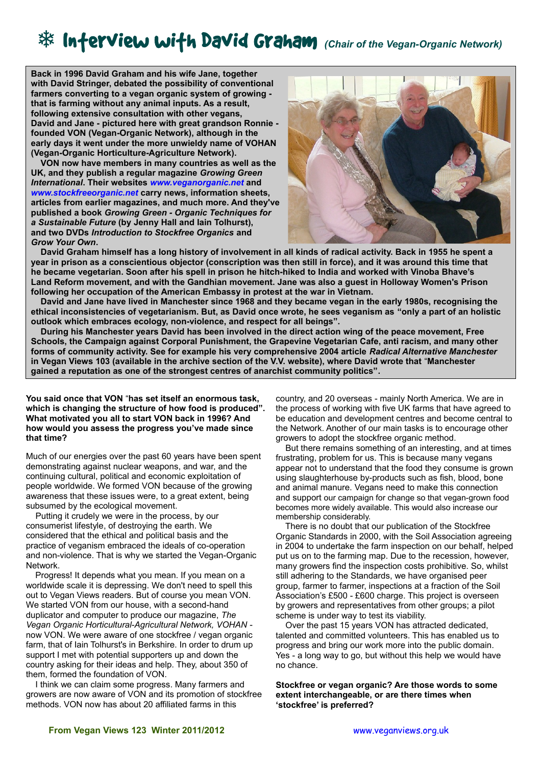# *\*\** Inferview wifh David Graham (Chair of the Vegan-Organic Network)

**Back in 1996 David Graham and his wife Jane, together with David Stringer, debated the possibility of conventional farmers converting to a vegan organic system of growing that is farming without any animal inputs. As a result, following extensive consultation with other vegans, David and Jane - pictured here with great grandson Ronnie founded VON (Vegan-Organic Network), although in the early days it went under the more unwieldy name of VOHAN (Vegan-Organic Horticulture-Agriculture Network).**

 **VON now have members in many countries as well as the UK, and they publish a regular magazine** *Growing Green International***. Their websites** *[www.veganorganic.net](http://www.veganorganic.net/)* **and**  *[www.stockfreeorganic.net](http://www.stockfreeorganic.net/)* **carry news, information sheets, articles from earlier magazines, and much more. And they've published a book** *Growing Green - Organic Techniques for a Sustainable Future* **(by Jenny Hall and Iain Tolhurst), and two DVDs** *Introduction to Stockfree Organics* **and**  *Grow Your Own***.** 



 **David Graham himself has a long history of involvement in all kinds of radical activity. Back in 1955 he spent a year in prison as a conscientious objector (conscription was then still in force), and it was around this time that he became vegetarian. Soon after his spell in prison he hitch-hiked to India and worked with Vinoba Bhave's Land Reform movement, and with the Gandhian movement. Jane was also a guest in Holloway Women's Prison following her occupation of the American Embassy in protest at the war in Vietnam.**

 **David and Jane have lived in Manchester since 1968 and they became vegan in the early 1980s, recognising the ethical inconsistencies of vegetarianism. But, as David once wrote, he sees veganism as "only a part of an holistic outlook which embraces ecology, non-violence, and respect for all beings".** 

 **During his Manchester years David has been involved in the direct action wing of the peace movement, Free Schools, the Campaign against Corporal Punishment, the Grapevine Vegetarian Cafe, anti racism, and many other forms of community activity. See for example his very comprehensive 2004 article** *Radical Alternative Manchester* **in Vegan Views 103 (available in the archive section of the V.V. website), where David wrote that** "**Manchester gained a reputation as one of the strongest centres of anarchist community politics".**

**You said once that VON** "**has set itself an enormous task, which is changing the structure of how food is produced". What motivated you all to start VON back in 1996? And how would you assess the progress you've made since that time?** 

Much of our energies over the past 60 years have been spent demonstrating against nuclear weapons, and war, and the continuing cultural, political and economic exploitation of people worldwide. We formed VON because of the growing awareness that these issues were, to a great extent, being subsumed by the ecological movement.

 Putting it crudely we were in the process, by our consumerist lifestyle, of destroying the earth. We considered that the ethical and political basis and the practice of veganism embraced the ideals of co-operation and non-violence. That is why we started the Vegan-Organic Network.

 Progress! It depends what you mean. If you mean on a worldwide scale it is depressing. We don't need to spell this out to Vegan Views readers. But of course you mean VON. We started VON from our house, with a second-hand duplicator and computer to produce our magazine, *The Vegan Organic Horticultural-Agricultural Network, VOHAN* now VON. We were aware of one stockfree / vegan organic farm, that of Iain Tolhurst's in Berkshire. In order to drum up support I met with potential supporters up and down the country asking for their ideas and help. They, about 350 of them, formed the foundation of VON.

 I think we can claim some progress. Many farmers and growers are now aware of VON and its promotion of stockfree methods. VON now has about 20 affiliated farms in this

country, and 20 overseas - mainly North America. We are in the process of working with five UK farms that have agreed to be education and development centres and become central to the Network. Another of our main tasks is to encourage other growers to adopt the stockfree organic method.

 But there remains something of an interesting, and at times frustrating, problem for us. This is because many vegans appear not to understand that the food they consume is grown using slaughterhouse by-products such as fish, blood, bone and animal manure. Vegans need to make this connection and support our campaign for change so that vegan-grown food becomes more widely available. This would also increase our membership considerably.

 There is no doubt that our publication of the Stockfree Organic Standards in 2000, with the Soil Association agreeing in 2004 to undertake the farm inspection on our behalf, helped put us on to the farming map. Due to the recession, however, many growers find the inspection costs prohibitive. So, whilst still adhering to the Standards, we have organised peer group, farmer to farmer, inspections at a fraction of the Soil Association's £500 - £600 charge. This project is overseen by growers and representatives from other groups; a pilot scheme is under way to test its viability.

 Over the past 15 years VON has attracted dedicated, talented and committed volunteers. This has enabled us to progress and bring our work more into the public domain. Yes - a long way to go, but without this help we would have no chance.

**Stockfree or vegan organic? Are those words to some extent interchangeable, or are there times when 'stockfree' is preferred?**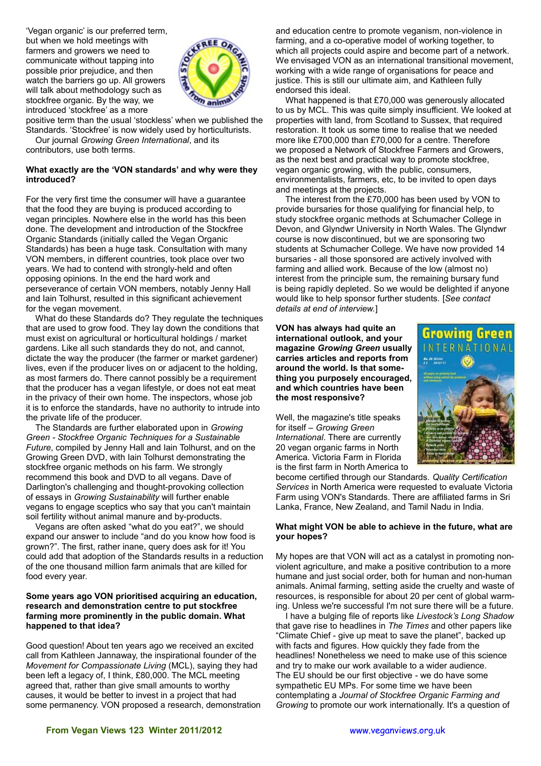'Vegan organic' is our preferred term, but when we hold meetings with farmers and growers we need to communicate without tapping into possible prior prejudice, and then watch the barriers go up. All growers will talk about methodology such as stockfree organic. By the way, we introduced 'stockfree' as a more



positive term than the usual 'stockless' when we published the Standards. 'Stockfree' is now widely used by horticulturists. Our journal *Growing Green International*, and its contributors, use both terms.

## **What exactly are the 'VON standards' and why were they introduced?**

For the very first time the consumer will have a guarantee that the food they are buying is produced according to vegan principles. Nowhere else in the world has this been done. The development and introduction of the Stockfree Organic Standards (initially called the Vegan Organic Standards) has been a huge task. Consultation with many VON members, in different countries, took place over two years. We had to contend with strongly-held and often opposing opinions. In the end the hard work and perseverance of certain VON members, notably Jenny Hall and Iain Tolhurst, resulted in this significant achievement for the vegan movement.

 What do these Standards do? They regulate the techniques that are used to grow food. They lay down the conditions that must exist on agricultural or horticultural holdings / market gardens. Like all such standards they do not, and cannot, dictate the way the producer (the farmer or market gardener) lives, even if the producer lives on or adjacent to the holding, as most farmers do. There cannot possibly be a requirement that the producer has a vegan lifestyle, or does not eat meat in the privacy of their own home. The inspectors, whose job it is to enforce the standards, have no authority to intrude into the private life of the producer.

 The Standards are further elaborated upon in *Growing Green - Stockfree Organic Techniques for a Sustainable Future*, compiled by Jenny Hall and Iain Tolhurst, and on the Growing Green DVD, with Iain Tolhurst demonstrating the stockfree organic methods on his farm. We strongly recommend this book and DVD to all vegans. Dave of Darlington's challenging and thought-provoking collection of essays in *Growing Sustainability* will further enable vegans to engage sceptics who say that you can't maintain soil fertility without animal manure and by-products.

 Vegans are often asked "what do you eat?", we should expand our answer to include "and do you know how food is grown?". The first, rather inane, query does ask for it! You could add that adoption of the Standards results in a reduction of the one thousand million farm animals that are killed for food every year.

### **Some years ago VON prioritised acquiring an education, research and demonstration centre to put stockfree farming more prominently in the public domain. What happened to that idea?**

Good question! About ten years ago we received an excited call from Kathleen Jannaway, the inspirational founder of the *Movement for Compassionate Living* (MCL), saying they had been left a legacy of, I think, £80,000. The MCL meeting agreed that, rather than give small amounts to worthy causes, it would be better to invest in a project that had some permanency. VON proposed a research, demonstration

and education centre to promote veganism, non-violence in farming, and a co-operative model of working together, to which all projects could aspire and become part of a network. We envisaged VON as an international transitional movement, working with a wide range of organisations for peace and justice. This is still our ultimate aim, and Kathleen fully endorsed this ideal.

 What happened is that £70,000 was generously allocated to us by MCL. This was quite simply insufficient. We looked at properties with land, from Scotland to Sussex, that required restoration. It took us some time to realise that we needed more like £700,000 than £70,000 for a centre. Therefore we proposed a Network of Stockfree Farmers and Growers, as the next best and practical way to promote stockfree, vegan organic growing, with the public, consumers, environmentalists, farmers, etc, to be invited to open days and meetings at the projects.

 The interest from the £70,000 has been used by VON to provide bursaries for those qualifying for financial help, to study stockfree organic methods at Schumacher College in Devon, and Glyndwr University in North Wales. The Glyndwr course is now discontinued, but we are sponsoring two students at Schumacher College. We have now provided 14 bursaries - all those sponsored are actively involved with farming and allied work. Because of the low (almost no) interest from the principle sum, the remaining bursary fund is being rapidly depleted. So we would be delighted if anyone would like to help sponsor further students. [*See contact details at end of interview.*]

**VON has always had quite an international outlook, and your magazine** *Growing Green* **usually carries articles and reports from around the world. Is that something you purposely encouraged, and which countries have been the most responsive?**

Well, the magazine's title speaks for itself – *Growing Green International*. There are currently 20 vegan organic farms in North America. Victoria Farm in Florida is the first farm in North America to Growing ERNATIONAL

become certified through our Standards. *Quality Certification Services* in North America were requested to evaluate Victoria Farm using VON's Standards. There are affiliated farms in Sri Lanka, France, New Zealand, and Tamil Nadu in India.

## **What might VON be able to achieve in the future, what are your hopes?**

My hopes are that VON will act as a catalyst in promoting nonviolent agriculture, and make a positive contribution to a more humane and just social order, both for human and non-human animals. Animal farming, setting aside the cruelty and waste of resources, is responsible for about 20 per cent of global warming. Unless we're successful I'm not sure there will be a future.

 I have a bulging file of reports like *Livestock's Long Shadow* that gave rise to headlines in *The Times* and other papers like "Climate Chief - give up meat to save the planet", backed up with facts and figures. How quickly they fade from the headlines! Nonetheless we need to make use of this science and try to make our work available to a wider audience. The EU should be our first objective - we do have some sympathetic EU MPs. For some time we have been contemplating a *Journal of Stockfree Organic Farming and Growing* to promote our work internationally. It's a question of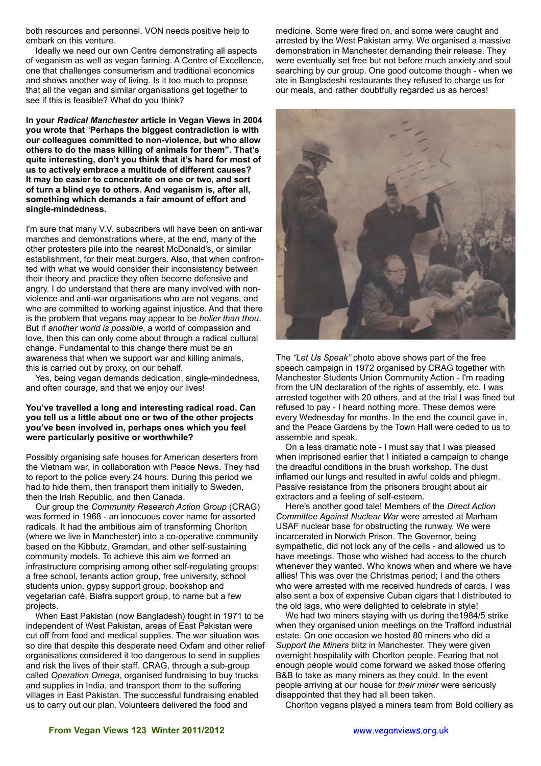both resources and personnel. VON needs positive help to embark on this venture.

 Ideally we need our own Centre demonstrating all aspects of veganism as well as vegan farming. A Centre of Excellence, one that challenges consumerism and traditional economics and shows another way of living. Is it too much to propose that all the vegan and similar organisations get together to see if this is feasible? What do you think?

**In your** *Radical Manchester* **article in Vegan Views in 2004 you wrote that** "**Perhaps the biggest contradiction is with our colleagues committed to non-violence, but who allow others to do the mass killing of animals for them". That's quite interesting, don't you think that it's hard for most of us to actively embrace a multitude of different causes? It may be easier to concentrate on one or two, and sort of turn a blind eye to others. And veganism is, after all, something which demands a fair amount of effort and single-mindedness.**

I'm sure that many V.V. subscribers will have been on anti-war marches and demonstrations where, at the end, many of the other protesters pile into the nearest McDonald's, or similar establishment, for their meat burgers. Also, that when confronted with what we would consider their inconsistency between their theory and practice they often become defensive and angry. I do understand that there are many involved with nonviolence and anti-war organisations who are not vegans, and who are committed to working against injustice. And that there is the problem that vegans may appear to be *holier than thou*. But if *another world is possible*, a world of compassion and love, then this can only come about through a radical cultural change. Fundamental to this change there must be an awareness that when we support war and killing animals, this is carried out by proxy, on our behalf.

 Yes, being vegan demands dedication, single-mindedness, and often courage, and that we enjoy our lives!

#### **You've travelled a long and interesting radical road. Can you tell us a little about one or two of the other projects you've been involved in, perhaps ones which you feel were particularly positive or worthwhile?**

Possibly organising safe houses for American deserters from the Vietnam war, in collaboration with Peace News. They had to report to the police every 24 hours. During this period we had to hide them, then transport them initially to Sweden, then the Irish Republic, and then Canada.

 Our group the *Community Research Action Group* (CRAG) was formed in 1968 - an innocuous cover name for assorted radicals. It had the ambitious aim of transforming Chorlton (where we live in Manchester) into a co-operative community based on the Kibbutz, Gramdan, and other self-sustaining community models. To achieve this aim we formed an infrastructure comprising among other self-regulating groups: a free school, tenants action group, free university, school students union, gypsy support group, bookshop and vegetarian café, Biafra support group, to name but a few projects.

 When East Pakistan (now Bangladesh) fought in 1971 to be independent of West Pakistan, areas of East Pakistan were cut off from food and medical supplies. The war situation was so dire that despite this desperate need Oxfam and other relief organisations considered it too dangerous to send in supplies and risk the lives of their staff. CRAG, through a sub-group called *Operation Omega*, organised fundraising to buy trucks and supplies in India, and transport them to the suffering villages in East Pakistan. The successful fundraising enabled us to carry out our plan. Volunteers delivered the food and

medicine. Some were fired on, and some were caught and arrested by the West Pakistan army. We organised a massive demonstration in Manchester demanding their release. They were eventually set free but not before much anxiety and soul searching by our group. One good outcome though - when we ate in Bangladeshi restaurants they refused to charge us for our meals, and rather doubtfully regarded us as heroes!



The *"Let Us Speak"* photo above shows part of the free speech campaign in 1972 organised by CRAG together with Manchester Students Union Community Action - I'm reading from the UN declaration of the rights of assembly, etc. I was arrested together with 20 others, and at the trial I was fined but refused to pay - I heard nothing more. These demos were every Wednesday for months. In the end the council gave in, and the Peace Gardens by the Town Hall were ceded to us to assemble and speak.

 On a less dramatic note - I must say that I was pleased when imprisoned earlier that I initiated a campaign to change the dreadful conditions in the brush workshop. The dust inflamed our lungs and resulted in awful colds and phlegm. Passive resistance from the prisoners brought about air extractors and a feeling of self-esteem.

 Here's another good tale! Members of the *Direct Action Committee Against Nuclear War* were arrested at Marham USAF nuclear base for obstructing the runway. We were incarcerated in Norwich Prison. The Governor, being sympathetic, did not lock any of the cells - and allowed us to have meetings. Those who wished had access to the church whenever they wanted. Who knows when and where we have allies! This was over the Christmas period; I and the others who were arrested with me received hundreds of cards. I was also sent a box of expensive Cuban cigars that I distributed to the old lags, who were delighted to celebrate in style!

 We had two miners staying with us during the1984/5 strike when they organised union meetings on the Trafford industrial estate. On one occasion we hosted 80 miners who did a *Support the Miners* blitz in Manchester. They were given overnight hospitality with Chorlton people. Fearing that not enough people would come forward we asked those offering B&B to take as many miners as they could. In the event people arriving at our house for *their miner* were seriously disappointed that they had all been taken.

Chorlton vegans played a miners team from Bold colliery as